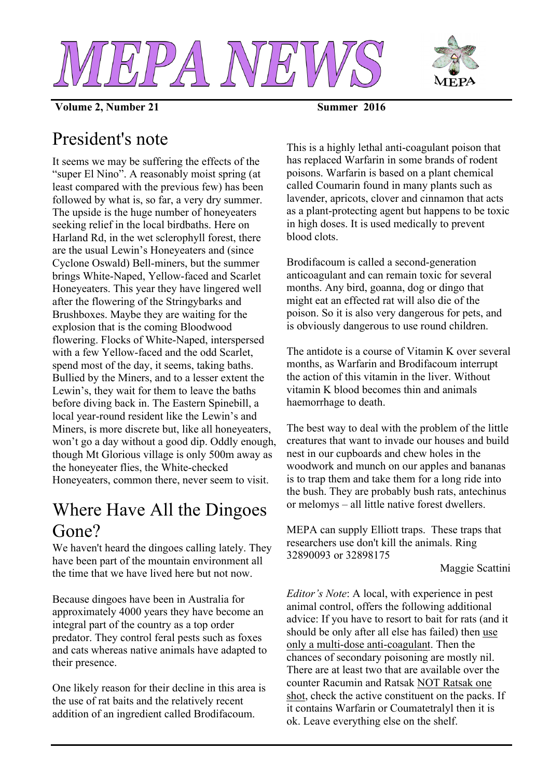



**Volume 2, Number 21** Summer 2016

# President's note

It seems we may be suffering the effects of the "super El Nino". A reasonably moist spring (at least compared with the previous few) has been followed by what is, so far, a very dry summer. The upside is the huge number of honeyeaters seeking relief in the local birdbaths. Here on Harland Rd, in the wet sclerophyll forest, there are the usual Lewin's Honeyeaters and (since Cyclone Oswald) Bell-miners, but the summer brings White-Naped, Yellow-faced and Scarlet Honeyeaters. This year they have lingered well after the flowering of the Stringybarks and Brushboxes. Maybe they are waiting for the explosion that is the coming Bloodwood flowering. Flocks of White-Naped, interspersed with a few Yellow-faced and the odd Scarlet, spend most of the day, it seems, taking baths. Bullied by the Miners, and to a lesser extent the Lewin's, they wait for them to leave the baths before diving back in. The Eastern Spinebill, a local year-round resident like the Lewin's and Miners, is more discrete but, like all honeyeaters, won't go a day without a good dip. Oddly enough, though Mt Glorious village is only 500m away as the honeyeater flies, the White-checked Honeyeaters, common there, never seem to visit.

# Where Have All the Dingoes Gone?

We haven't heard the dingoes calling lately. They have been part of the mountain environment all the time that we have lived here but not now.

Because dingoes have been in Australia for approximately 4000 years they have become an integral part of the country as a top order predator. They control feral pests such as foxes and cats whereas native animals have adapted to their presence.

One likely reason for their decline in this area is the use of rat baits and the relatively recent addition of an ingredient called Brodifacoum.

This is a highly lethal anti-coagulant poison that has replaced Warfarin in some brands of rodent poisons. Warfarin is based on a plant chemical called Coumarin found in many plants such as lavender, apricots, clover and cinnamon that acts as a plant-protecting agent but happens to be toxic in high doses. It is used medically to prevent blood clots.

Brodifacoum is called a second-generation anticoagulant and can remain toxic for several months. Any bird, goanna, dog or dingo that might eat an effected rat will also die of the poison. So it is also very dangerous for pets, and is obviously dangerous to use round children.

The antidote is a course of Vitamin K over several months, as Warfarin and Brodifacoum interrupt the action of this vitamin in the liver. Without vitamin K blood becomes thin and animals haemorrhage to death.

The best way to deal with the problem of the little creatures that want to invade our houses and build nest in our cupboards and chew holes in the woodwork and munch on our apples and bananas is to trap them and take them for a long ride into the bush. They are probably bush rats, antechinus or melomys – all little native forest dwellers.

MEPA can supply Elliott traps. These traps that researchers use don't kill the animals. Ring 32890093 or 32898175

Maggie Scattini

*Editor's Note*: A local, with experience in pest animal control, offers the following additional advice: If you have to resort to bait for rats (and it should be only after all else has failed) then use only a multi-dose anti-coagulant. Then the chances of secondary poisoning are mostly nil. There are at least two that are available over the counter Racumin and Ratsak NOT Ratsak one shot, check the active constituent on the packs. If it contains Warfarin or Coumatetralyl then it is ok. Leave everything else on the shelf.